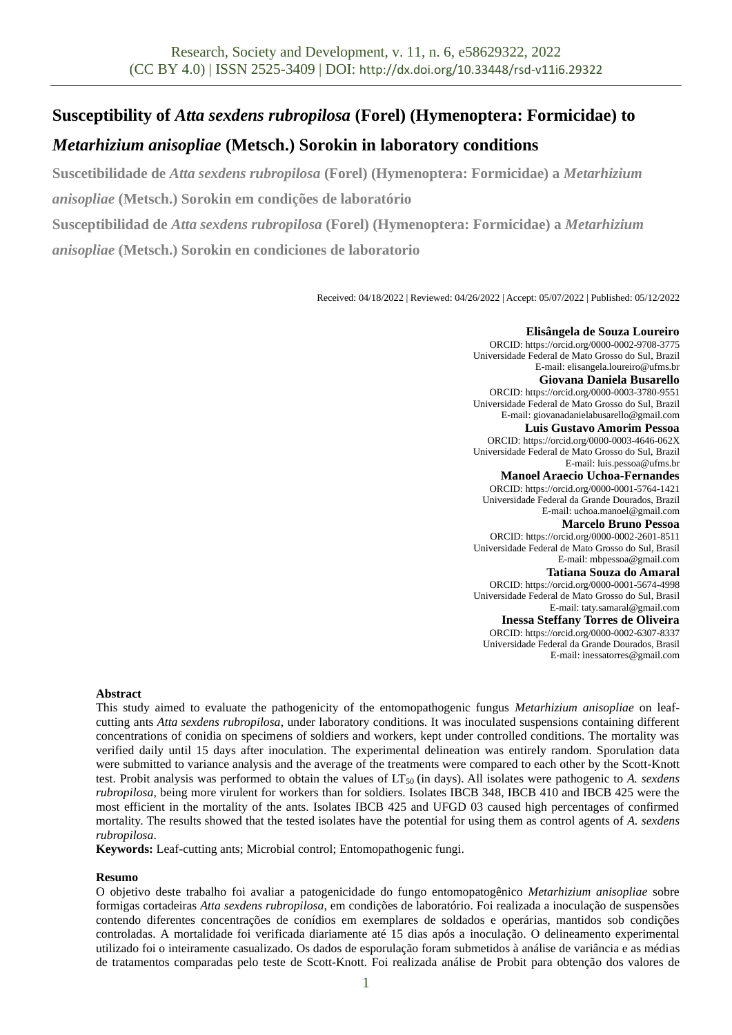# **Susceptibility of** *Atta sexdens rubropilosa* **(Forel) (Hymenoptera: Formicidae) to**

# *Metarhizium anisopliae* **(Metsch.) Sorokin in laboratory conditions**

**Suscetibilidade de** *Atta sexdens rubropilosa* **(Forel) (Hymenoptera: Formicidae) a** *Metarhizium* 

*anisopliae* **(Metsch.) Sorokin em condições de laboratório**

**Susceptibilidad de** *Atta sexdens rubropilosa* **(Forel) (Hymenoptera: Formicidae) a** *Metarhizium* 

*anisopliae* **(Metsch.) Sorokin en condiciones de laboratorio**

Received: 04/18/2022 | Reviewed: 04/26/2022 | Accept: 05/07/2022 | Published: 05/12/2022

#### **Elisângela de Souza Loureiro**

ORCID: https://orcid.org/0000-0002-9708-3775 Universidade Federal de Mato Grosso do Sul, Brazil E-mail[: elisangela.loureiro@ufms.br](mailto:elisangela.loureiro@ufms.br)

#### **Giovana Daniela Busarello**

ORCID: https://orcid.org/0000-0003-3780-9551 Universidade Federal de Mato Grosso do Sul, Brazil E-mail[: giovanadanielabusarello@gmail.com](mailto:giovanadanielabusarello@gmail.com)

**Luis Gustavo Amorim Pessoa** ORCID: https://orcid.org/0000-0003-4646-062X Universidade Federal de Mato Grosso do Sul, Brazil E-mail[: luis.pessoa@ufms.br](mailto:luis.pessoa@ufms.br)

**Manoel Araecio Uchoa-Fernandes** ORCID: https://orcid.org/0000-0001-5764-1421 Universidade Federal da Grande Dourados, Brazil E-mail[: uchoa.manoel@gmail.com](mailto:uchoa.manoel@gmail.com)

**Marcelo Bruno Pessoa** ORCID: https://orcid.org/0000-0002-2601-8511 Universidade Federal de Mato Grosso do Sul, Brasil

E-mail: mbpessoa@gmail.com **Tatiana Souza do Amaral**

ORCID: https://orcid.org/0000-0001-5674-4998 Universidade Federal de Mato Grosso do Sul, Brasil E-mail[: taty.samaral@gmail.com](mailto:taty.samaral@gmail.com)

**Inessa Steffany Torres de Oliveira** ORCID: https://orcid.org/0000-0002-6307-8337 Universidade Federal da Grande Dourados, Brasil E-mail: inessatorres@gmail.com

### **Abstract**

This study aimed to evaluate the pathogenicity of the entomopathogenic fungus *Metarhizium anisopliae* on leafcutting ants *Atta sexdens rubropilosa*, under laboratory conditions. It was inoculated suspensions containing different concentrations of conidia on specimens of soldiers and workers, kept under controlled conditions. The mortality was verified daily until 15 days after inoculation. The experimental delineation was entirely random. Sporulation data were submitted to variance analysis and the average of the treatments were compared to each other by the Scott-Knott test. Probit analysis was performed to obtain the values of LT<sub>50</sub> (in days). All isolates were pathogenic to *A. sexdens rubropilosa,* being more virulent for workers than for soldiers. Isolates IBCB 348, IBCB 410 and IBCB 425 were the most efficient in the mortality of the ants. Isolates IBCB 425 and UFGD 03 caused high percentages of confirmed mortality. The results showed that the tested isolates have the potential for using them as control agents of *A. sexdens rubropilosa*.

**Keywords:** Leaf-cutting ants; Microbial control; Entomopathogenic fungi.

### **Resumo**

O objetivo deste trabalho foi avaliar a patogenicidade do fungo entomopatogênico *Metarhizium anisopliae* sobre formigas cortadeiras *Atta sexdens rubropilosa*, em condições de laboratório. Foi realizada a inoculação de suspensões contendo diferentes concentrações de conídios em exemplares de soldados e operárias, mantidos sob condições controladas. A mortalidade foi verificada diariamente até 15 dias após a inoculação. O delineamento experimental utilizado foi o inteiramente casualizado. Os dados de esporulação foram submetidos à análise de variância e as médias de tratamentos comparadas pelo teste de Scott-Knott. Foi realizada análise de Probit para obtenção dos valores de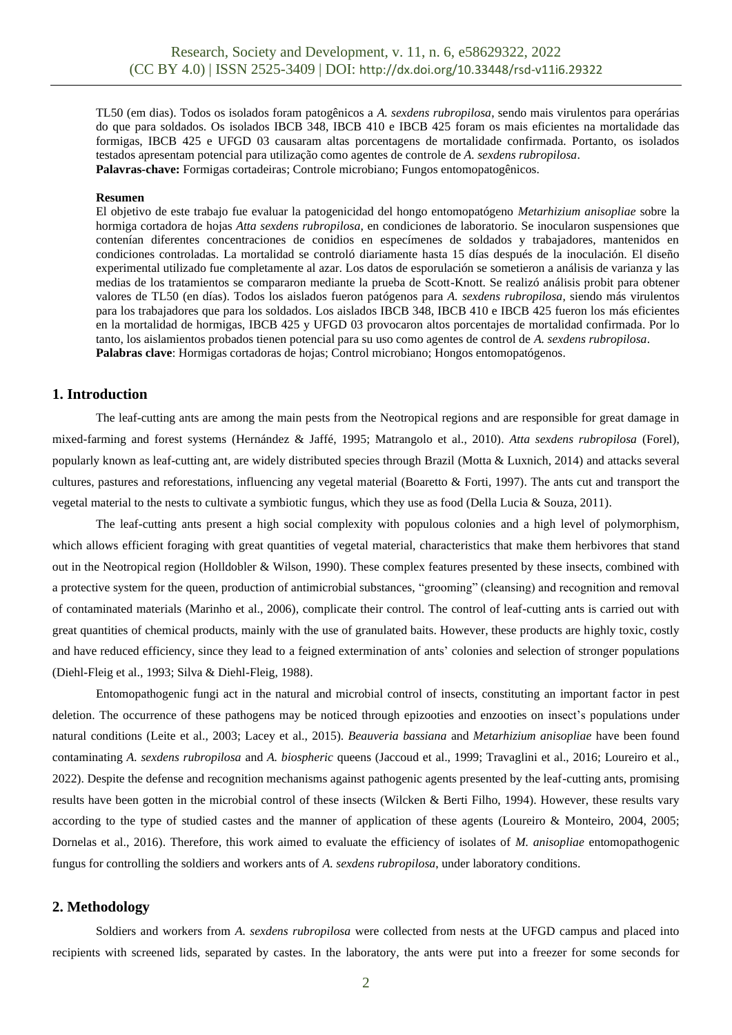TL50 (em dias). Todos os isolados foram patogênicos a *A. sexdens rubropilosa*, sendo mais virulentos para operárias do que para soldados. Os isolados IBCB 348, IBCB 410 e IBCB 425 foram os mais eficientes na mortalidade das formigas, IBCB 425 e UFGD 03 causaram altas porcentagens de mortalidade confirmada. Portanto, os isolados testados apresentam potencial para utilização como agentes de controle de *A. sexdens rubropilosa*. **Palavras-chave:** Formigas cortadeiras; Controle microbiano; Fungos entomopatogênicos.

#### **Resumen**

El objetivo de este trabajo fue evaluar la patogenicidad del hongo entomopatógeno *Metarhizium anisopliae* sobre la hormiga cortadora de hojas *Atta sexdens rubropilosa*, en condiciones de laboratorio. Se inocularon suspensiones que contenían diferentes concentraciones de conidios en especímenes de soldados y trabajadores, mantenidos en condiciones controladas. La mortalidad se controló diariamente hasta 15 días después de la inoculación. El diseño experimental utilizado fue completamente al azar. Los datos de esporulación se sometieron a análisis de varianza y las medias de los tratamientos se compararon mediante la prueba de Scott-Knott. Se realizó análisis probit para obtener valores de TL50 (en días). Todos los aislados fueron patógenos para *A. sexdens rubropilosa*, siendo más virulentos para los trabajadores que para los soldados. Los aislados IBCB 348, IBCB 410 e IBCB 425 fueron los más eficientes en la mortalidad de hormigas, IBCB 425 y UFGD 03 provocaron altos porcentajes de mortalidad confirmada. Por lo tanto, los aislamientos probados tienen potencial para su uso como agentes de control de *A. sexdens rubropilosa*. **Palabras clave**: Hormigas cortadoras de hojas; Control microbiano; Hongos entomopatógenos.

## **1. Introduction**

The leaf-cutting ants are among the main pests from the Neotropical regions and are responsible for great damage in mixed-farming and forest systems (Hernández & Jaffé, 1995; Matrangolo et al., 2010). *Atta sexdens rubropilosa* (Forel), popularly known as leaf-cutting ant, are widely distributed species through Brazil (Motta & Luxnich, 2014) and attacks several cultures, pastures and reforestations, influencing any vegetal material (Boaretto & Forti, 1997). The ants cut and transport the vegetal material to the nests to cultivate a symbiotic fungus, which they use as food (Della Lucia & Souza, 2011).

The leaf-cutting ants present a high social complexity with populous colonies and a high level of polymorphism, which allows efficient foraging with great quantities of vegetal material, characteristics that make them herbivores that stand out in the Neotropical region (Holldobler & Wilson, 1990). These complex features presented by these insects, combined with a protective system for the queen, production of antimicrobial substances, "grooming" (cleansing) and recognition and removal of contaminated materials (Marinho et al., 2006), complicate their control. The control of leaf-cutting ants is carried out with great quantities of chemical products, mainly with the use of granulated baits. However, these products are highly toxic, costly and have reduced efficiency, since they lead to a feigned extermination of ants' colonies and selection of stronger populations (Diehl-Fleig et al., 1993; Silva & Diehl-Fleig, 1988).

Entomopathogenic fungi act in the natural and microbial control of insects, constituting an important factor in pest deletion. The occurrence of these pathogens may be noticed through epizooties and enzooties on insect's populations under natural conditions (Leite et al., 2003; Lacey et al., 2015). *Beauveria bassiana* and *Metarhizium anisopliae* have been found contaminating *A. sexdens rubropilosa* and *A. biospheric* queens (Jaccoud et al., 1999; Travaglini et al., 2016; Loureiro et al., 2022). Despite the defense and recognition mechanisms against pathogenic agents presented by the leaf-cutting ants, promising results have been gotten in the microbial control of these insects (Wilcken & Berti Filho, 1994). However, these results vary according to the type of studied castes and the manner of application of these agents (Loureiro & Monteiro, 2004, 2005; Dornelas et al., 2016). Therefore, this work aimed to evaluate the efficiency of isolates of *M. anisopliae* entomopathogenic fungus for controlling the soldiers and workers ants of *A. sexdens rubropilosa*, under laboratory conditions.

#### **2. Methodology**

Soldiers and workers from *A. sexdens rubropilosa* were collected from nests at the UFGD campus and placed into recipients with screened lids, separated by castes. In the laboratory, the ants were put into a freezer for some seconds for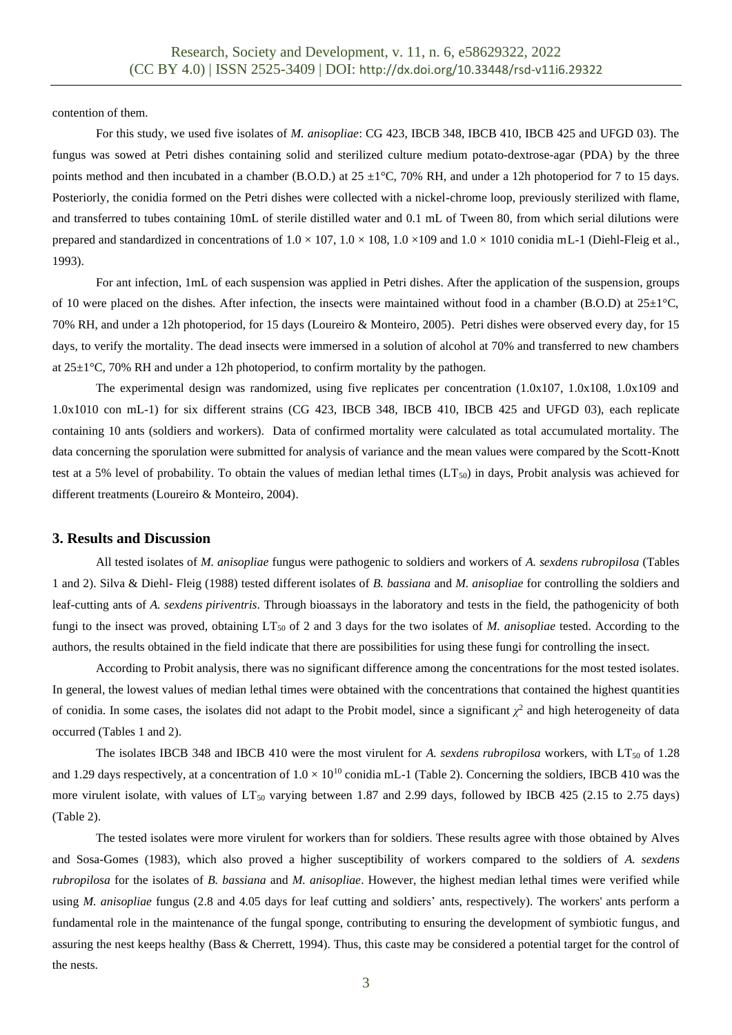contention of them.

For this study, we used five isolates of *M. anisopliae*: CG 423, IBCB 348, IBCB 410, IBCB 425 and UFGD 03). The fungus was sowed at Petri dishes containing solid and sterilized culture medium potato-dextrose-agar (PDA) by the three points method and then incubated in a chamber (B.O.D.) at  $25 \pm 1^{\circ}$ C, 70% RH, and under a 12h photoperiod for 7 to 15 days. Posteriorly, the conidia formed on the Petri dishes were collected with a nickel-chrome loop, previously sterilized with flame, and transferred to tubes containing 10mL of sterile distilled water and 0.1 mL of Tween 80, from which serial dilutions were prepared and standardized in concentrations of  $1.0 \times 107$ ,  $1.0 \times 108$ ,  $1.0 \times 109$  and  $1.0 \times 1010$  conidia mL-1 (Diehl-Fleig et al., 1993).

For ant infection, 1mL of each suspension was applied in Petri dishes. After the application of the suspension, groups of 10 were placed on the dishes. After infection, the insects were maintained without food in a chamber (B.O.D) at  $25\pm1^{\circ}$ C, 70% RH, and under a 12h photoperiod, for 15 days (Loureiro & Monteiro, 2005). Petri dishes were observed every day, for 15 days, to verify the mortality. The dead insects were immersed in a solution of alcohol at 70% and transferred to new chambers at  $25\pm1^{\circ}$ C, 70% RH and under a 12h photoperiod, to confirm mortality by the pathogen.

The experimental design was randomized, using five replicates per concentration (1.0x107, 1.0x108, 1.0x109 and 1.0x1010 con mL-1) for six different strains (CG 423, IBCB 348, IBCB 410, IBCB 425 and UFGD 03), each replicate containing 10 ants (soldiers and workers). Data of confirmed mortality were calculated as total accumulated mortality. The data concerning the sporulation were submitted for analysis of variance and the mean values were compared by the Scott-Knott test at a 5% level of probability. To obtain the values of median lethal times  $(LT_{50})$  in days, Probit analysis was achieved for different treatments (Loureiro & Monteiro, 2004).

#### **3. Results and Discussion**

All tested isolates of *M. anisopliae* fungus were pathogenic to soldiers and workers of *A. sexdens rubropilosa* (Tables 1 and 2). Silva & Diehl- Fleig (1988) tested different isolates of *B. bassiana* and *M. anisopliae* for controlling the soldiers and leaf-cutting ants of *A. sexdens piriventris*. Through bioassays in the laboratory and tests in the field, the pathogenicity of both fungi to the insect was proved, obtaining LT<sup>50</sup> of 2 and 3 days for the two isolates of *M. anisopliae* tested. According to the authors, the results obtained in the field indicate that there are possibilities for using these fungi for controlling the insect.

According to Probit analysis, there was no significant difference among the concentrations for the most tested isolates. In general, the lowest values of median lethal times were obtained with the concentrations that contained the highest quantities of conidia. In some cases, the isolates did not adapt to the Probit model, since a significant  $\chi^2$  and high heterogeneity of data occurred (Tables 1 and 2).

The isolates IBCB 348 and IBCB 410 were the most virulent for *A. sexdens rubropilosa* workers, with LT<sub>50</sub> of 1.28 and 1.29 days respectively, at a concentration of  $1.0 \times 10^{10}$  conidia mL-1 (Table 2). Concerning the soldiers, IBCB 410 was the more virulent isolate, with values of  $LT_{50}$  varying between 1.87 and 2.99 days, followed by IBCB 425 (2.15 to 2.75 days) (Table 2).

The tested isolates were more virulent for workers than for soldiers. These results agree with those obtained by Alves and Sosa-Gomes (1983), which also proved a higher susceptibility of workers compared to the soldiers of *A. sexdens rubropilosa* for the isolates of *B. bassiana* and *M. anisopliae*. However, the highest median lethal times were verified while using *M. anisopliae* fungus (2.8 and 4.05 days for leaf cutting and soldiers' ants, respectively). The workers' ants perform a fundamental role in the maintenance of the fungal sponge, contributing to ensuring the development of symbiotic fungus, and assuring the nest keeps healthy (Bass & Cherrett, 1994). Thus, this caste may be considered a potential target for the control of the nests.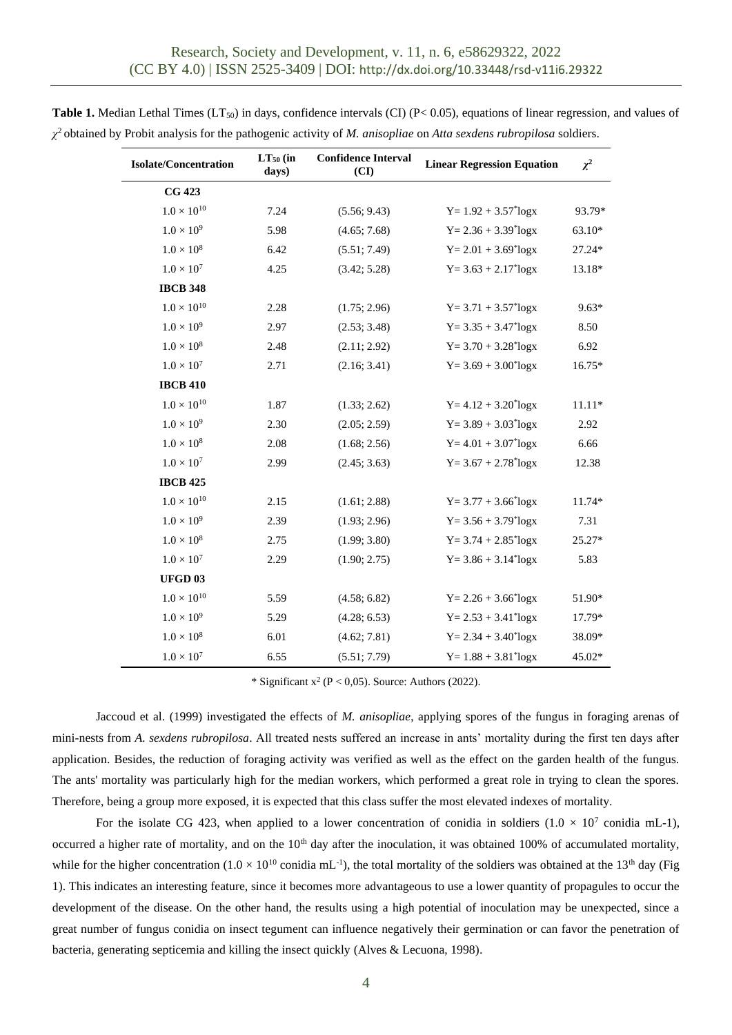| <b>Isolate/Concentration</b> | $LT50$ (in<br>days) | <b>Confidence Interval</b><br>(CI) | <b>Linear Regression Equation</b>   | $\chi^2$ |
|------------------------------|---------------------|------------------------------------|-------------------------------------|----------|
| <b>CG 423</b>                |                     |                                    |                                     |          |
| $1.0 \times 10^{10}$         | 7.24                | (5.56; 9.43)                       | $Y = 1.92 + 3.57$ <sup>*</sup> logx | 93.79*   |
| $1.0 \times 10^{9}$          | 5.98                | (4.65; 7.68)                       | $Y = 2.36 + 3.39^* \log x$          | 63.10*   |
| $1.0\times10^8$              | 6.42                | (5.51; 7.49)                       | $Y = 2.01 + 3.69^* \log x$          | 27.24*   |
| $1.0 \times 10^{7}$          | 4.25                | (3.42; 5.28)                       | $Y = 3.63 + 2.17^{*} \log x$        | 13.18*   |
| <b>IBCB 348</b>              |                     |                                    |                                     |          |
| $1.0 \times 10^{10}$         | 2.28                | (1.75; 2.96)                       | $Y = 3.71 + 3.57^* \log x$          | $9.63*$  |
| $1.0 \times 10^{9}$          | 2.97                | (2.53; 3.48)                       | $Y = 3.35 + 3.47^* \log x$          | 8.50     |
| $1.0\times10^8$              | 2.48                | (2.11; 2.92)                       | $Y = 3.70 + 3.28$ <sup>*</sup> logx | 6.92     |
| $1.0 \times 10^7$            | 2.71                | (2.16; 3.41)                       | $Y = 3.69 + 3.00^{\circ}$ logx      | $16.75*$ |
| <b>IBCB 410</b>              |                     |                                    |                                     |          |
| $1.0\times10^{10}$           | 1.87                | (1.33; 2.62)                       | $Y = 4.12 + 3.20^{*}$ logx          | $11.11*$ |
| $1.0 \times 10^{9}$          | 2.30                | (2.05; 2.59)                       | $Y = 3.89 + 3.03^{*}$ logx          | 2.92     |
| $1.0\times10^8$              | 2.08                | (1.68; 2.56)                       | $Y = 4.01 + 3.07$ <sup>*</sup> logx | 6.66     |
| $1.0 \times 10^7$            | 2.99                | (2.45; 3.63)                       | $Y = 3.67 + 2.78$ <sup>*</sup> logx | 12.38    |
| <b>IBCB 425</b>              |                     |                                    |                                     |          |
| $1.0 \times 10^{10}$         | 2.15                | (1.61; 2.88)                       | $Y = 3.77 + 3.66^{\circ}$ logx      | 11.74*   |
| $1.0 \times 10^{9}$          | 2.39                | (1.93; 2.96)                       | $Y = 3.56 + 3.79^* \log x$          | 7.31     |
| $1.0\times10^8$              | 2.75                | (1.99; 3.80)                       | $Y = 3.74 + 2.85^* \log x$          | 25.27*   |
| $1.0 \times 10^7$            | 2.29                | (1.90; 2.75)                       | $Y = 3.86 + 3.14^{*}$ logx          | 5.83     |
| <b>UFGD 03</b>               |                     |                                    |                                     |          |
| $1.0 \times 10^{10}$         | 5.59                | (4.58; 6.82)                       | $Y = 2.26 + 3.66^{\circ}$ logx      | 51.90*   |
| $1.0\times10^9$              | 5.29                | (4.28; 6.53)                       | $Y = 2.53 + 3.41$ <sup>*</sup> logx | 17.79*   |
| $1.0\times10^8$              | 6.01                | (4.62; 7.81)                       | $Y = 2.34 + 3.40^{\circ}$ logx      | 38.09*   |
| $1.0\times10^7$              | 6.55                | (5.51; 7.79)                       | $Y = 1.88 + 3.81$ <sup>*</sup> logx | 45.02*   |

**Table 1.** Median Lethal Times (LT<sub>50</sub>) in days, confidence intervals (CI) (P< 0.05), equations of linear regression, and values of *χ* <sup>2</sup> obtained by Probit analysis for the pathogenic activity of *M. anisopliae* on *Atta sexdens rubropilosa* soldiers.

\* Significant  $x^2$  (P < 0,05). Source: Authors (2022).

Jaccoud et al. (1999) investigated the effects of *M. anisopliae*, applying spores of the fungus in foraging arenas of mini-nests from *A. sexdens rubropilosa*. All treated nests suffered an increase in ants' mortality during the first ten days after application. Besides, the reduction of foraging activity was verified as well as the effect on the garden health of the fungus. The ants' mortality was particularly high for the median workers, which performed a great role in trying to clean the spores. Therefore, being a group more exposed, it is expected that this class suffer the most elevated indexes of mortality.

For the isolate CG 423, when applied to a lower concentration of conidia in soldiers  $(1.0 \times 10^7 \text{ conidia mL-1})$ , occurred a higher rate of mortality, and on the  $10<sup>th</sup>$  day after the inoculation, it was obtained 100% of accumulated mortality, while for the higher concentration  $(1.0 \times 10^{10} \text{ conidia mL}^{-1})$ , the total mortality of the soldiers was obtained at the 13<sup>th</sup> day (Fig 1). This indicates an interesting feature, since it becomes more advantageous to use a lower quantity of propagules to occur the development of the disease. On the other hand, the results using a high potential of inoculation may be unexpected, since a great number of fungus conidia on insect tegument can influence negatively their germination or can favor the penetration of bacteria, generating septicemia and killing the insect quickly (Alves & Lecuona, 1998).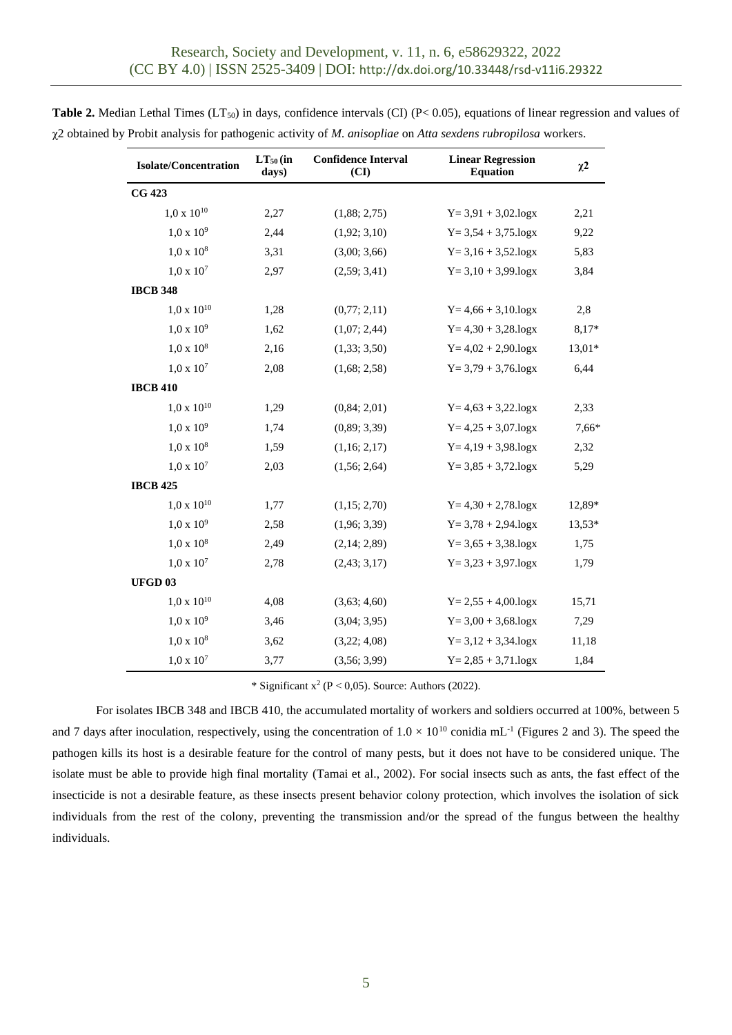| <b>Isolate/Concentration</b> | $LT_{50}$ (in<br>days) | <b>Confidence Interval</b><br>(CI) | <b>Linear Regression</b><br><b>Equation</b> | $\chi^2$ |
|------------------------------|------------------------|------------------------------------|---------------------------------------------|----------|
| <b>CG 423</b>                |                        |                                    |                                             |          |
| $1.0 \times 10^{10}$         | 2,27                   | (1,88; 2,75)                       | $Y = 3.91 + 3.02 \log x$                    | 2,21     |
| $1,0 \times 10^9$            | 2,44                   | (1,92; 3,10)                       | $Y = 3,54 + 3,75 \log x$                    | 9,22     |
| $1,0 \times 10^8$            | 3,31                   | (3,00; 3,66)                       | $Y = 3,16 + 3,52 \cdot \log x$              | 5,83     |
| $1,0 \times 10^7$            | 2,97                   | (2,59; 3,41)                       | $Y = 3,10 + 3,99 \text{log}x$               | 3,84     |
| <b>IBCB 348</b>              |                        |                                    |                                             |          |
| $1.0 \times 10^{10}$         | 1,28                   | (0,77; 2,11)                       | $Y = 4,66 + 3,10 \log x$                    | 2,8      |
| $1,0 \times 10^9$            | 1,62                   | (1,07; 2,44)                       | $Y = 4,30 + 3,28 \log x$                    | 8,17*    |
| $1,0 \times 10^8$            | 2,16                   | (1,33; 3,50)                       | $Y = 4.02 + 2.90 \log x$                    | $13,01*$ |
| $1,0 \times 10^7$            | 2,08                   | (1,68; 2,58)                       | $Y = 3,79 + 3,76 \log x$                    | 6,44     |
| <b>IBCB 410</b>              |                        |                                    |                                             |          |
| $1,0 \times 10^{10}$         | 1,29                   | (0, 84; 2, 01)                     | $Y = 4,63 + 3,22 \cdot \log x$              | 2,33     |
| $1,0 \times 10^9$            | 1,74                   | (0,89; 3,39)                       | $Y = 4,25 + 3,07 \cdot \log x$              | 7,66*    |
| $1,0 \times 10^8$            | 1,59                   | (1,16; 2,17)                       | $Y = 4,19 + 3,98 \log x$                    | 2,32     |
| $1,0 \times 10^7$            | 2,03                   | (1,56; 2,64)                       | $Y = 3,85 + 3,72 \cdot \log x$              | 5,29     |
| <b>IBCB 425</b>              |                        |                                    |                                             |          |
| $1,0 \times 10^{10}$         | 1,77                   | (1,15; 2,70)                       | $Y = 4,30 + 2,78 \log x$                    | 12,89*   |
| $1,0 \times 10^9$            | 2,58                   | (1,96; 3,39)                       | $Y = 3,78 + 2,94 \cdot \log x$              | $13,53*$ |
| $1,0 \times 10^8$            | 2,49                   | (2,14; 2,89)                       | $Y = 3,65 + 3,38 \log x$                    | 1,75     |
| $1,0 \times 10^7$            | 2,78                   | (2,43; 3,17)                       | $Y = 3,23 + 3,97 \cdot \log x$              | 1,79     |
| <b>UFGD03</b>                |                        |                                    |                                             |          |
| $1,0 \times 10^{10}$         | 4,08                   | (3,63; 4,60)                       | $Y = 2,55 + 4,00 \log x$                    | 15,71    |
| $1,0 \times 10^9$            | 3,46                   | (3,04; 3,95)                       | $Y = 3,00 + 3,68 \log x$                    | 7,29     |
| $1,0 \times 10^8$            | 3,62                   | (3,22; 4,08)                       | $Y = 3,12 + 3,34.$ logx                     | 11,18    |
| $1,0 \times 10^7$            | 3,77                   | (3,56; 3,99)                       | $Y = 2,85 + 3,71 \cdot \log x$              | 1,84     |

**Table 2.** Median Lethal Times (LT<sub>50</sub>) in days, confidence intervals (CI) (P< 0.05), equations of linear regression and values of χ2 obtained by Probit analysis for pathogenic activity of *M. anisopliae* on *Atta sexdens rubropilosa* workers.

\* Significant  $x^2$  (P < 0,05). Source: Authors (2022).

For isolates IBCB 348 and IBCB 410, the accumulated mortality of workers and soldiers occurred at 100%, between 5 and 7 days after inoculation, respectively, using the concentration of  $1.0 \times 10^{10}$  conidia mL<sup>-1</sup> (Figures 2 and 3). The speed the pathogen kills its host is a desirable feature for the control of many pests, but it does not have to be considered unique. The isolate must be able to provide high final mortality (Tamai et al., 2002). For social insects such as ants, the fast effect of the insecticide is not a desirable feature, as these insects present behavior colony protection, which involves the isolation of sick individuals from the rest of the colony, preventing the transmission and/or the spread of the fungus between the healthy individuals.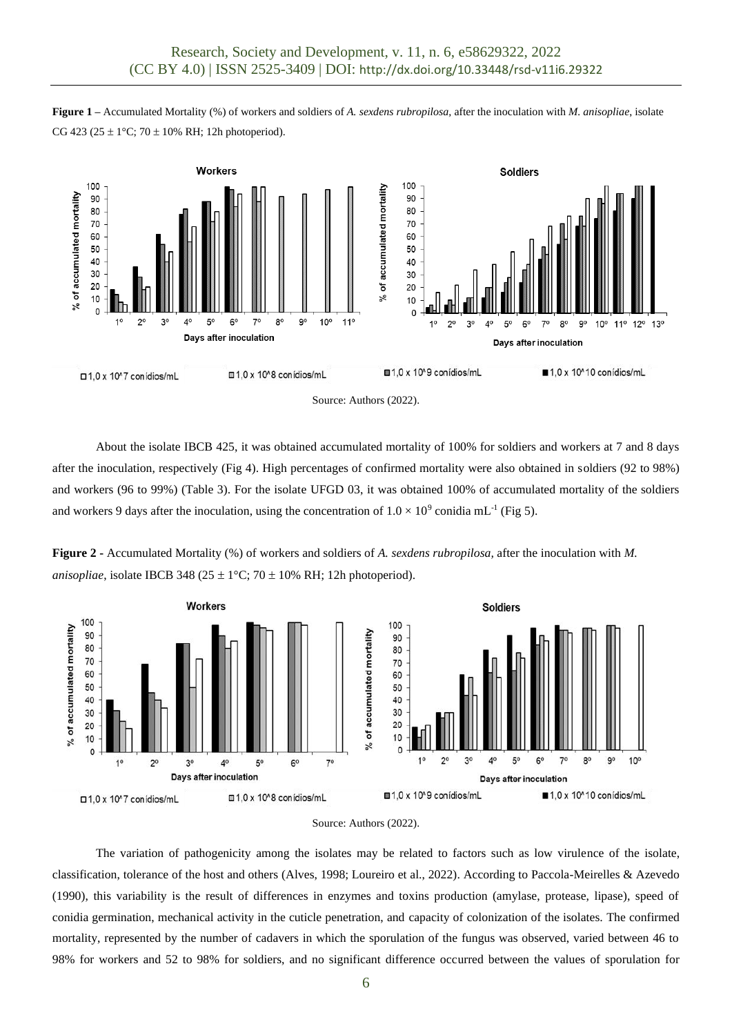**Figure 1 –** Accumulated Mortality (%) of workers and soldiers of *A. sexdens rubropilosa,* after the inoculation with *M. anisopliae*, isolate CG 423 (25  $\pm$  1°C; 70  $\pm$  10% RH; 12h photoperiod).



About the isolate IBCB 425, it was obtained accumulated mortality of 100% for soldiers and workers at 7 and 8 days after the inoculation, respectively (Fig 4). High percentages of confirmed mortality were also obtained in soldiers (92 to 98%) and workers (96 to 99%) (Table 3). For the isolate UFGD 03, it was obtained 100% of accumulated mortality of the soldiers and workers 9 days after the inoculation, using the concentration of  $1.0 \times 10^9$  conidia mL<sup>-1</sup> (Fig 5).

**Figure 2 -** Accumulated Mortality (%) of workers and soldiers of *A. sexdens rubropilosa,* after the inoculation with *M. anisopliae*, isolate IBCB 348 (25  $\pm$  1°C; 70  $\pm$  10% RH; 12h photoperiod).





The variation of pathogenicity among the isolates may be related to factors such as low virulence of the isolate, classification, tolerance of the host and others (Alves, 1998; Loureiro et al., 2022). According to Paccola-Meirelles & Azevedo (1990), this variability is the result of differences in enzymes and toxins production (amylase, protease, lipase), speed of conidia germination, mechanical activity in the cuticle penetration, and capacity of colonization of the isolates. The confirmed mortality, represented by the number of cadavers in which the sporulation of the fungus was observed, varied between 46 to 98% for workers and 52 to 98% for soldiers, and no significant difference occurred between the values of sporulation for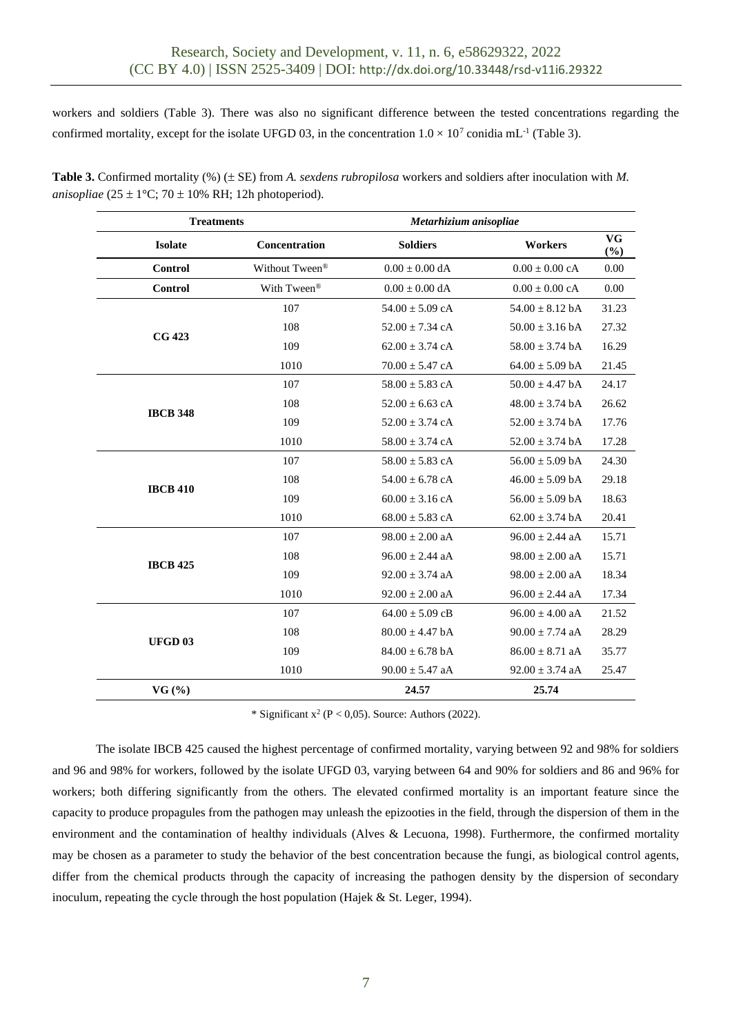workers and soldiers (Table 3). There was also no significant difference between the tested concentrations regarding the confirmed mortality, except for the isolate UFGD 03, in the concentration  $1.0 \times 10^7$  conidia mL<sup>-1</sup> (Table 3).

| <b>Treatments</b> |                | Metarhizium anisopliae |                            |                     |
|-------------------|----------------|------------------------|----------------------------|---------------------|
| <b>Isolate</b>    | Concentration  | <b>Soldiers</b>        | Workers                    | <b>VG</b><br>$(\%)$ |
| <b>Control</b>    | Without Tween® | $0.00\pm0.00$ dA       | $0.00 \pm 0.00$ cA         | 0.00                |
| <b>Control</b>    | With Tween®    | $0.00 \pm 0.00$ dA     | $0.00 \pm 0.00 \text{ cA}$ | 0.00                |
|                   | 107            | $54.00 \pm 5.09$ cA    | $54.00 \pm 8.12$ bA        | 31.23               |
| <b>CG 423</b>     | 108            | $52.00 \pm 7.34$ cA    | $50.00 \pm 3.16$ bA        | 27.32               |
|                   | 109            | $62.00 \pm 3.74$ cA    | $58.00 \pm 3.74$ bA        | 16.29               |
|                   | 1010           | $70.00 \pm 5.47$ cA    | $64.00 \pm 5.09$ bA        | 21.45               |
|                   | 107            | $58.00 \pm 5.83$ cA    | $50.00 \pm 4.47$ bA        | 24.17               |
|                   | 108            | $52.00 \pm 6.63$ cA    | $48.00 \pm 3.74$ bA        | 26.62               |
| <b>IBCB 348</b>   | 109            | $52.00 \pm 3.74$ cA    | $52.00 \pm 3.74$ bA        | 17.76               |
|                   | 1010           | $58.00 \pm 3.74$ cA    | $52.00 \pm 3.74$ bA        | 17.28               |
|                   | 107            | $58.00 \pm 5.83$ cA    | $56.00 \pm 5.09$ bA        | 24.30               |
|                   | 108            | $54.00 \pm 6.78$ cA    | $46.00 \pm 5.09$ bA        | 29.18               |
| <b>IBCB 410</b>   | 109            | $60.00 \pm 3.16$ cA    | $56.00 \pm 5.09$ bA        | 18.63               |
|                   | 1010           | $68.00 \pm 5.83$ cA    | $62.00 \pm 3.74$ bA        | 20.41               |
|                   | 107            | $98.00 \pm 2.00$ aA    | $96.00 \pm 2.44$ aA        | 15.71               |
| <b>IBCB 425</b>   | 108            | $96.00 \pm 2.44$ aA    | $98.00 \pm 2.00$ aA        | 15.71               |
|                   | 109            | $92.00 \pm 3.74$ aA    | $98.00 \pm 2.00$ aA        | 18.34               |
|                   | 1010           | $92.00 \pm 2.00$ aA    | $96.00 \pm 2.44$ aA        | 17.34               |
|                   | 107            | $64.00 \pm 5.09$ cB    | $96.00 \pm 4.00$ aA        | 21.52               |
| <b>UFGD03</b>     | 108            | $80.00 \pm 4.47$ bA    | $90.00 \pm 7.74$ aA        | 28.29               |
|                   | 109            | $84.00 \pm 6.78$ bA    | $86.00 \pm 8.71$ aA        | 35.77               |
|                   | 1010           | $90.00 \pm 5.47$ aA    | $92.00 \pm 3.74$ aA        | 25.47               |
| VG(%)             |                | 24.57                  | 25.74                      |                     |

**Table 3.** Confirmed mortality (%) ( $\pm$  SE) from *A. sexdens rubropilosa* workers and soldiers after inoculation with *M*. *anisopliae* ( $25 \pm 1$ °C; 70  $\pm$  10% RH; 12h photoperiod).

\* Significant  $x^2$  (P < 0,05). Source: Authors (2022).

The isolate IBCB 425 caused the highest percentage of confirmed mortality, varying between 92 and 98% for soldiers and 96 and 98% for workers, followed by the isolate UFGD 03, varying between 64 and 90% for soldiers and 86 and 96% for workers; both differing significantly from the others. The elevated confirmed mortality is an important feature since the capacity to produce propagules from the pathogen may unleash the epizooties in the field, through the dispersion of them in the environment and the contamination of healthy individuals (Alves & Lecuona, 1998). Furthermore, the confirmed mortality may be chosen as a parameter to study the behavior of the best concentration because the fungi, as biological control agents, differ from the chemical products through the capacity of increasing the pathogen density by the dispersion of secondary inoculum, repeating the cycle through the host population (Hajek & St. Leger, 1994).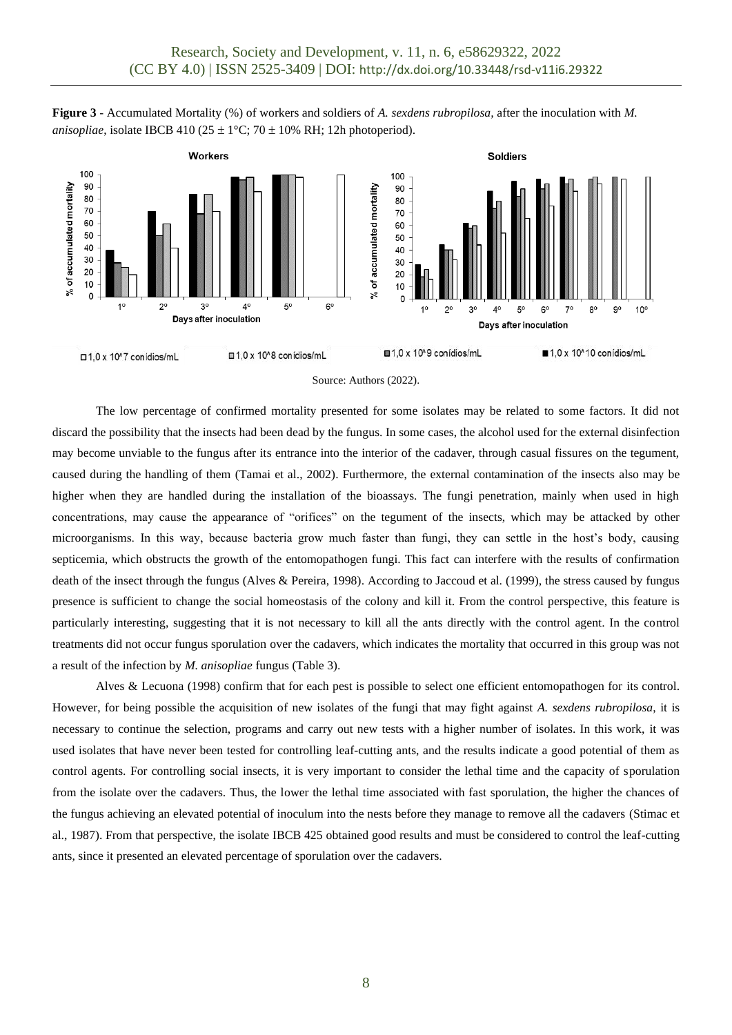





The low percentage of confirmed mortality presented for some isolates may be related to some factors. It did not discard the possibility that the insects had been dead by the fungus. In some cases, the alcohol used for the external disinfection may become unviable to the fungus after its entrance into the interior of the cadaver, through casual fissures on the tegument, caused during the handling of them (Tamai et al., 2002). Furthermore, the external contamination of the insects also may be higher when they are handled during the installation of the bioassays. The fungi penetration, mainly when used in high concentrations, may cause the appearance of "orifices" on the tegument of the insects, which may be attacked by other microorganisms. In this way, because bacteria grow much faster than fungi, they can settle in the host's body, causing septicemia, which obstructs the growth of the entomopathogen fungi. This fact can interfere with the results of confirmation death of the insect through the fungus (Alves & Pereira, 1998). According to Jaccoud et al. (1999), the stress caused by fungus presence is sufficient to change the social homeostasis of the colony and kill it. From the control perspective, this feature is particularly interesting, suggesting that it is not necessary to kill all the ants directly with the control agent. In the control treatments did not occur fungus sporulation over the cadavers, which indicates the mortality that occurred in this group was not a result of the infection by *M. anisopliae* fungus (Table 3).

Alves & Lecuona (1998) confirm that for each pest is possible to select one efficient entomopathogen for its control. However, for being possible the acquisition of new isolates of the fungi that may fight against *A. sexdens rubropilosa*, it is necessary to continue the selection, programs and carry out new tests with a higher number of isolates. In this work, it was used isolates that have never been tested for controlling leaf-cutting ants, and the results indicate a good potential of them as control agents. For controlling social insects, it is very important to consider the lethal time and the capacity of sporulation from the isolate over the cadavers. Thus, the lower the lethal time associated with fast sporulation, the higher the chances of the fungus achieving an elevated potential of inoculum into the nests before they manage to remove all the cadavers (Stimac et al., 1987). From that perspective, the isolate IBCB 425 obtained good results and must be considered to control the leaf-cutting ants, since it presented an elevated percentage of sporulation over the cadavers.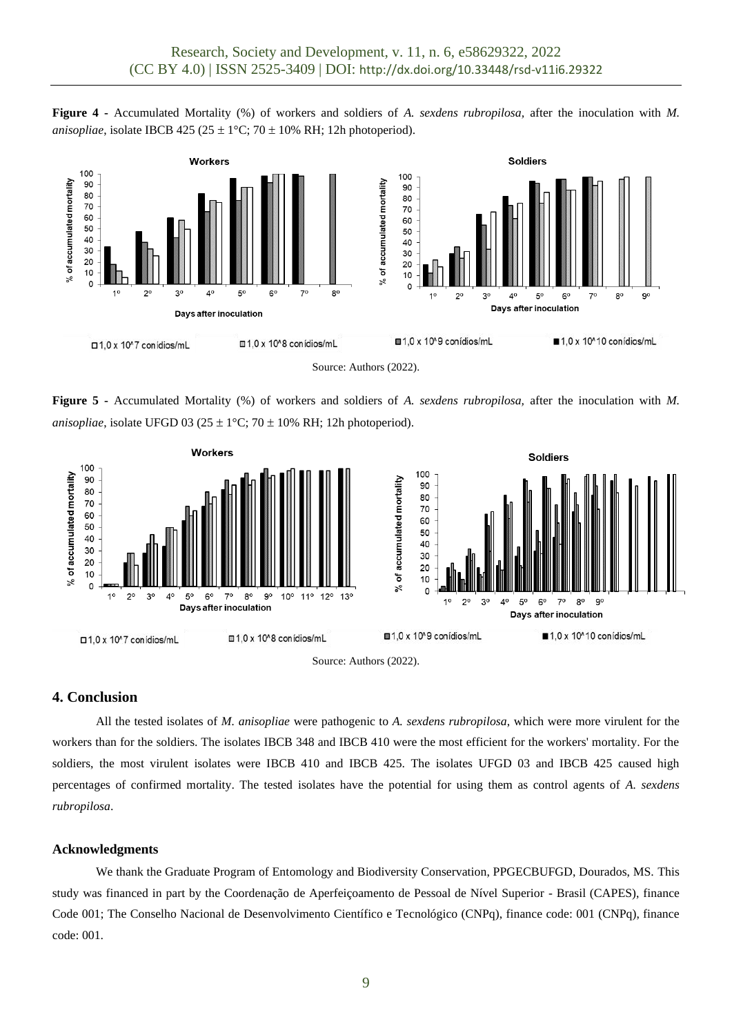**Figure 4 -** Accumulated Mortality (%) of workers and soldiers of *A. sexdens rubropilosa,* after the inoculation with *M. anisopliae*, isolate IBCB 425 (25  $\pm$  1°C; 70  $\pm$  10% RH; 12h photoperiod).



Source: Authors (2022).

**Figure 5 -** Accumulated Mortality (%) of workers and soldiers of *A. sexdens rubropilosa,* after the inoculation with *M. anisopliae*, isolate UFGD 03 (25  $\pm$  1°C; 70  $\pm$  10% RH; 12h photoperiod).



## **4. Conclusion**

All the tested isolates of *M. anisopliae* were pathogenic to *A. sexdens rubropilosa*, which were more virulent for the workers than for the soldiers. The isolates IBCB 348 and IBCB 410 were the most efficient for the workers' mortality. For the soldiers, the most virulent isolates were IBCB 410 and IBCB 425. The isolates UFGD 03 and IBCB 425 caused high percentages of confirmed mortality. The tested isolates have the potential for using them as control agents of *A. sexdens rubropilosa*.

### **Acknowledgments**

We thank the Graduate Program of Entomology and Biodiversity Conservation, PPGECBUFGD, Dourados, MS. This study was financed in part by the Coordenação de Aperfeiçoamento de Pessoal de Nível Superior - Brasil (CAPES), finance Code 001; The Conselho Nacional de Desenvolvimento Científico e Tecnológico (CNPq), finance code: 001 (CNPq), finance code: 001.